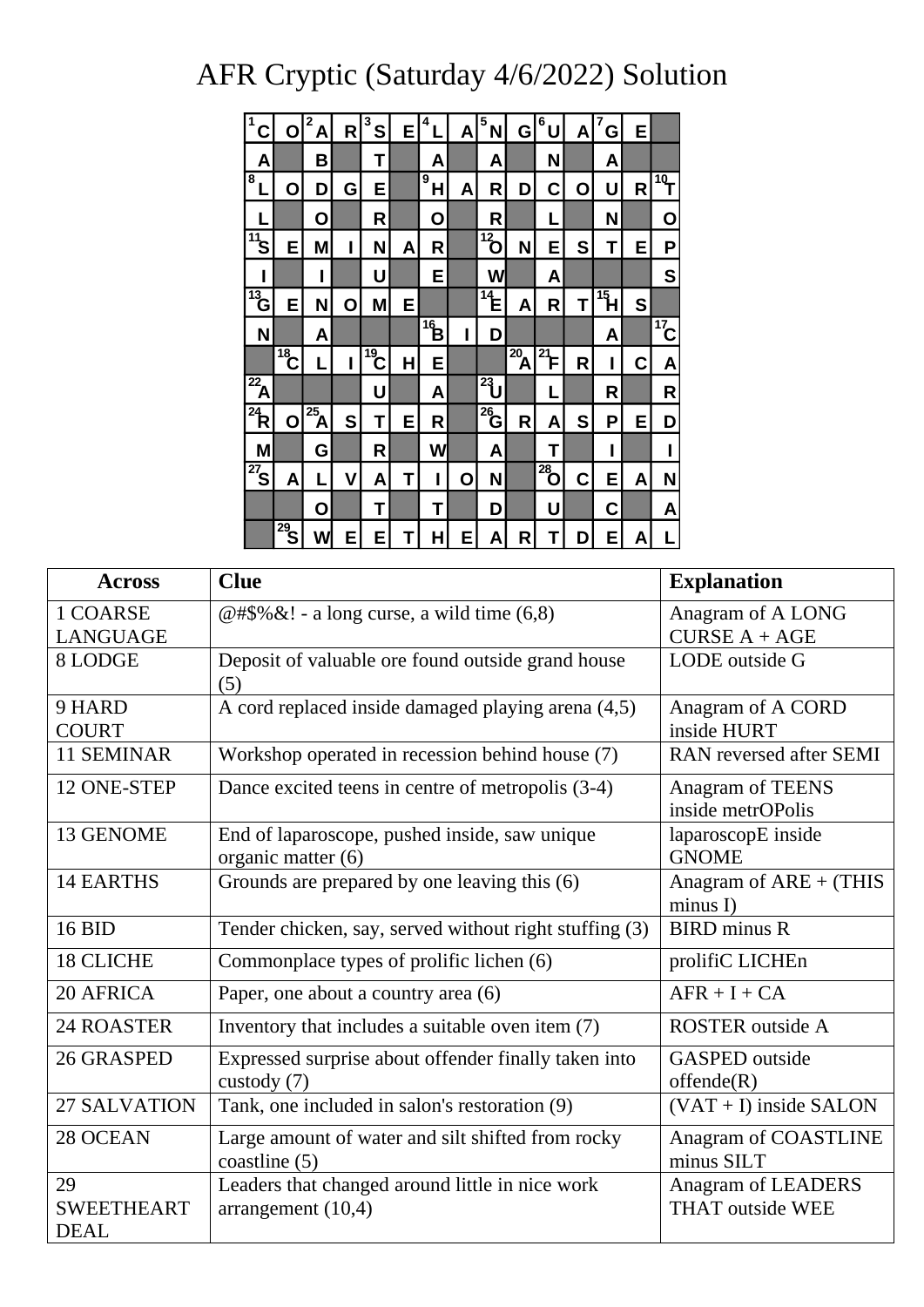## AFR Cryptic (Saturday 4/6/2022) Solution

| 1<br>С                       | Ο                     | 2<br>A                  | R | 3<br>S          | E | 4            | A | 5<br>N          | G                 | 6<br>U         | A | 7<br>G          | Е |                    |
|------------------------------|-----------------------|-------------------------|---|-----------------|---|--------------|---|-----------------|-------------------|----------------|---|-----------------|---|--------------------|
| Α                            |                       | В                       |   | Τ               |   | A            |   | A               |                   | N              |   | Α               |   |                    |
| $\overline{\mathbf{8}}$<br>L | Ο                     | D                       | G | E               |   | 9<br>Н       | A | R               | D                 | C              | Ο | U               | R | $\hat{\mathbb{F}}$ |
|                              |                       | Ο                       |   | R               |   | Ο            |   | R               |                   | L              |   | N               |   | Ο                  |
| $\overline{11}$ S            | E                     | M                       | I | N               | A | R            |   | $\overline{12}$ | N                 | E              | S | Τ               | Е | Ρ                  |
| ı                            |                       | ı                       |   | U               |   | Ε            |   | W               |                   | Α              |   |                 |   | S                  |
| $\sqrt[13]{13}$              | E                     | N                       | О | M               | E |              |   | $\sqrt[14]{14}$ | A                 | R              | Τ | $\overline{15}$ | S |                    |
| N                            |                       | A                       |   |                 |   | $\mathbf{q}$ | I | D               |                   |                |   | Α               |   | $\frac{17}{17}$    |
|                              | $\overbrace{18}^{18}$ | L                       | ı | $\overline{19}$ | Н | Е            |   |                 | $\overline{20}$ A | $\frac{1}{21}$ | R | I               | C | A                  |
| $\overline{\mathbf{A}}$      |                       |                         |   | U               |   | A            |   | $\frac{1}{2}$   |                   | L              |   | R               |   | R                  |
| $\overline{P}$               | О                     | $\overline{\mathbf{A}}$ | S | T               | Е | R            |   | $\overline{26}$ | R                 | A              | S | Ρ               | Е | D                  |
| M                            |                       | G                       |   | R               |   | W            |   | A               |                   | Т              |   |                 |   | ı                  |
| $\overline{27}$              | A                     | L                       | ۷ | A               | Τ | I            | 0 | N               |                   | $\sqrt{28}$    | C | E               | A | N                  |
|                              |                       | О                       |   | T               |   | Τ            |   | D               |                   | U              |   | С               |   | A                  |
|                              | $\frac{1}{29}$        | W                       | Е | E               | T | Н            | Е | Α               | R                 | Τ              | D | E               | Α | L                  |

|                   | A <br><b>R</b><br>้SI<br>EI<br>ΈI<br>$\mathsf{A}$<br>NI GI<br>U<br>E.<br> 0 <br>G<br>C<br>$\mathsf{A}$                                                       |                                       |  |  |
|-------------------|--------------------------------------------------------------------------------------------------------------------------------------------------------------|---------------------------------------|--|--|
|                   | B<br>T<br>N<br>$\mathsf{A}$<br>A<br>A<br>A                                                                                                                   |                                       |  |  |
|                   | 8<br>$\dot{\bar{\mathbf{H}}}_\text{e}$<br>E<br>$\mathsf{R}$<br>$\mathsf{R}$<br>$\mathbf O$<br>D<br>G<br>D<br>$\mathbf c$<br>$\mathbf O$<br>$\mathbf{A}$<br>U | 19 <sub>T</sub>                       |  |  |
|                   | $\mathsf{R}$<br>$\mathsf{R}$<br> O <br>$\mathbf O$<br>N                                                                                                      | $\mathbf O$                           |  |  |
|                   | $\overline{12}$<br>$\sqrt[11]{3}$<br>M<br>N<br>S<br>E<br>N<br>$\mathsf{R}$<br>Е<br>Е<br>$\mathsf{A}$<br>т                                                    | P                                     |  |  |
|                   | E.<br>U<br>W<br>A                                                                                                                                            | S                                     |  |  |
|                   | $\sqrt[13]{6}$<br>$\overline{14}$<br>$15$ $H$<br>$\mathbf{s}$<br>E<br>M<br>T<br>E<br>N<br>A<br>$\mathsf{R}$<br>$\mathbf 0$                                   |                                       |  |  |
|                   | $\vec{B}$<br>N<br>D<br>A<br>A                                                                                                                                | $\overline{17}$ C                     |  |  |
|                   | $\overline{18}$<br>$^{19}$ C<br>$\overline{a}^2$<br>$\frac{1}{21}$ FI<br>$\mathbf R$<br>H<br>Е<br>C                                                          | A                                     |  |  |
|                   | $\overline{\mathbf{z}_A}$<br>$23$ U<br>U<br>R<br>A<br>L                                                                                                      | $\mathsf{R}$                          |  |  |
|                   | $\mathbf{R}^2$<br>$^{25}$ A<br>$^{26}$ G<br>S<br>S<br>E<br>$\mathsf{R}$<br>$\mathsf{R}$<br>E<br>O<br>T<br>P<br>A                                             | D                                     |  |  |
|                   | R<br>M<br>G<br>W<br>A<br>T                                                                                                                                   |                                       |  |  |
|                   | $\overline{^{27}}$ SI<br>$28$ <sup>28</sup> <sup>o</sup><br> C <br>$\mathbf{V}$<br>$\mathbf O$<br><b>N</b><br>E<br>A<br>$\mathsf{T}$<br>$\mathbf{A}$<br> A   | N                                     |  |  |
|                   | T<br>U<br>$\mathbf C$<br>$\mathbf{O}$<br>D<br>T                                                                                                              | A                                     |  |  |
|                   | $^{29}$ S<br>W<br>E.<br>E<br>H<br>E<br>$\mathsf{R}$<br>E.<br>т<br>T<br>D<br>A<br>A                                                                           |                                       |  |  |
|                   |                                                                                                                                                              |                                       |  |  |
| <b>Across</b>     | <b>Clue</b>                                                                                                                                                  | <b>Explanation</b>                    |  |  |
| 1 COARSE          | @#\$%&! - a long curse, a wild time $(6,8)$                                                                                                                  | Anagram of A LONG                     |  |  |
| <b>LANGUAGE</b>   |                                                                                                                                                              | $CURSE A + AGE$                       |  |  |
| 8 LODGE           | Deposit of valuable ore found outside grand house<br>(5)                                                                                                     | LODE outside G                        |  |  |
| 9 HARD            | A cord replaced inside damaged playing arena (4,5)                                                                                                           | Anagram of A CORD                     |  |  |
| <b>COURT</b>      |                                                                                                                                                              | inside HURT                           |  |  |
| 11 SEMINAR        | Workshop operated in recession behind house (7)                                                                                                              | RAN reversed after SEMI               |  |  |
| 12 ONE-STEP       | Dance excited teens in centre of metropolis (3-4)                                                                                                            | Anagram of TEENS<br>inside metrOPolis |  |  |
| 13 GENOME         | End of laparoscope, pushed inside, saw unique                                                                                                                | laparoscopE inside                    |  |  |
|                   | organic matter (6)                                                                                                                                           | <b>GNOME</b>                          |  |  |
| <b>14 EARTHS</b>  | Grounds are prepared by one leaving this (6)                                                                                                                 | Anagram of $ARE + (THIS)$<br>minus I) |  |  |
| 16 BID            | Tender chicken, say, served without right stuffing (3)                                                                                                       | <b>BIRD</b> minus R                   |  |  |
| <b>18 CLICHE</b>  | Commonplace types of prolific lichen (6)                                                                                                                     | prolifiC LICHEn                       |  |  |
| 20 AFRICA         | Paper, one about a country area (6)                                                                                                                          | $AFR + I + CA$                        |  |  |
| <b>24 ROASTER</b> | Inventory that includes a suitable oven item (7)                                                                                                             | <b>ROSTER</b> outside A               |  |  |
| 26 GRASPED        | Expressed surprise about offender finally taken into<br>custody $(7)$                                                                                        | <b>GASPED</b> outside                 |  |  |
| 27 SALVATION      | offende(R)<br>$(VAT + I)$ inside SALON                                                                                                                       |                                       |  |  |
| 28 OCEAN          | Tank, one included in salon's restoration (9)<br>Large amount of water and silt shifted from rocky                                                           | Anagram of COASTLINE                  |  |  |
|                   | coastline $(5)$                                                                                                                                              | minus SILT                            |  |  |
| 29                | Leaders that changed around little in nice work                                                                                                              | Anagram of LEADERS                    |  |  |
| <b>SWEETHEART</b> | arrangement $(10,4)$                                                                                                                                         | <b>THAT</b> outside WEE               |  |  |
| <b>DEAL</b>       |                                                                                                                                                              |                                       |  |  |